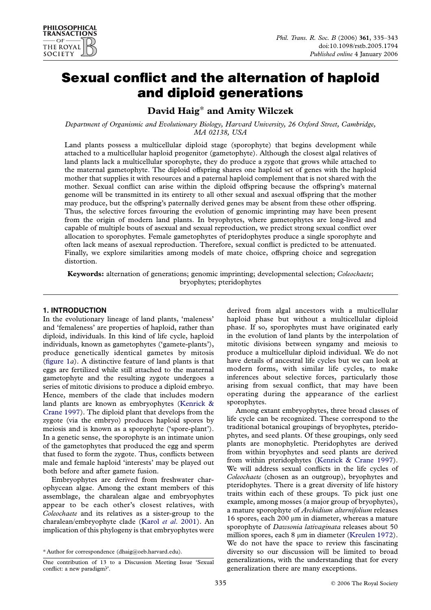

# Sexual conflict and the alternation of haploid and diploid generations

David Haig\* and Amity Wilczek

Department of Organismic and Evolutionary Biology, Harvard University, 26 Oxford Street, Cambridge, MA 02138, USA

Land plants possess a multicellular diploid stage (sporophyte) that begins development while attached to a multicellular haploid progenitor (gametophyte). Although the closest algal relatives of land plants lack a multicellular sporophyte, they do produce a zygote that grows while attached to the maternal gametophyte. The diploid offspring shares one haploid set of genes with the haploid mother that supplies it with resources and a paternal haploid complement that is not shared with the mother. Sexual conflict can arise within the diploid offspring because the offspring's maternal genome will be transmitted in its entirety to all other sexual and asexual offspring that the mother may produce, but the offspring's paternally derived genes may be absent from these other offspring. Thus, the selective forces favouring the evolution of genomic imprinting may have been present from the origin of modern land plants. In bryophytes, where gametophytes are long-lived and capable of multiple bouts of asexual and sexual reproduction, we predict strong sexual conflict over allocation to sporophytes. Female gametophytes of pteridophytes produce a single sporophyte and often lack means of asexual reproduction. Therefore, sexual conflict is predicted to be attenuated. Finally, we explore similarities among models of mate choice, offspring choice and segregation distortion.

Keywords: alternation of generations; genomic imprinting; developmental selection; Coleochaete; bryophytes; pteridophytes

### 1. INTRODUCTION

In the evolutionary lineage of land plants, 'maleness' and 'femaleness' are properties of haploid, rather than diploid, individuals. In this kind of life cycle, haploid individuals, known as gametophytes ('gamete-plants'), produce genetically identical gametes by mitosis (figure  $1a$ ). A distinctive feature of land plants is that eggs are fertilized while still attached to the maternal gametophyte and the resulting zygote undergoes a series of mitotic divisions to produce a diploid embryo. Hence, members of the clade that includes modern land plants are known as embryophytes [\(Kenrick &](#page-7-0) [Crane 1997\)](#page-7-0). The diploid plant that develops from the zygote (via the embryo) produces haploid spores by meiosis and is known as a sporophyte ('spore-plant'). In a genetic sense, the sporophyte is an intimate union of the gametophytes that produced the egg and sperm that fused to form the zygote. Thus, conflicts between male and female haploid 'interests' may be played out both before and after gamete fusion.

Embryophytes are derived from freshwater charophycean algae. Among the extant members of this assemblage, the charalean algae and embryophytes appear to be each other's closest relatives, with Coleochaete and its relatives as a sister-group to the charalean/embryophyte clade (Karol et al[. 2001\)](#page-7-0). An implication of this phylogeny is that embryophytes were

derived from algal ancestors with a multicellular haploid phase but without a multicellular diploid phase. If so, sporophytes must have originated early in the evolution of land plants by the interpolation of mitotic divisions between syngamy and meiosis to produce a multicellular diploid individual. We do not have details of ancestral life cycles but we can look at modern forms, with similar life cycles, to make inferences about selective forces, particularly those arising from sexual conflict, that may have been operating during the appearance of the earliest sporophytes.

Among extant embryophytes, three broad classes of life cycle can be recognized. These correspond to the traditional botanical groupings of bryophytes, pteridophytes, and seed plants. Of these groupings, only seed plants are monophyletic. Pteridophytes are derived from within bryophytes and seed plants are derived from within pteridophytes [\(Kenrick & Crane 1997\)](#page-7-0). We will address sexual conflicts in the life cycles of Coleochaete (chosen as an outgroup), bryophytes and pteridophytes. There is a great diversity of life history traits within each of these groups. To pick just one example, among mosses (a major group of bryophytes), a mature sporophyte of Archidium alternifolium releases 16 spores, each 200 µm in diameter, whereas a mature sporophyte of Dawsonia lativaginata releases about 50 million spores, each 8 µm in diameter ([Kreulen 1972\)](#page-7-0). We do not have the space to review this fascinating diversity so our discussion will be limited to broad generalizations, with the understanding that for every generalization there are many exceptions.

<sup>\*</sup> Author for correspondence (dhaig@oeb.harvard.edu).

One contribution of 13 to a Discussion Meeting Issue 'Sexual conflict: a new paradigm?'.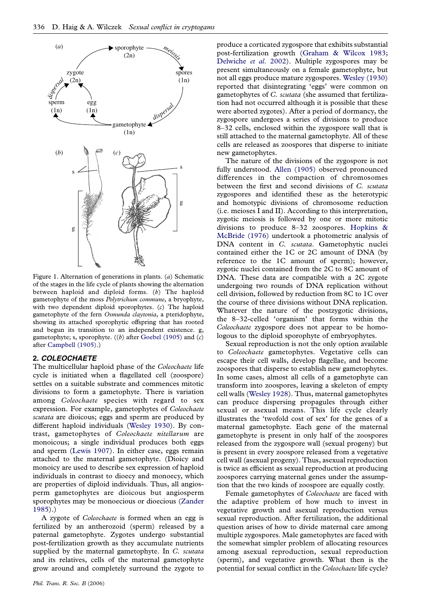<span id="page-1-0"></span>

Figure 1. Alternation of generations in plants. (a) Schematic of the stages in the life cycle of plants showing the alternation between haploid and diploid forms. (b) The haploid gametophyte of the moss Polytrichum commune, a bryophyte, with two dependent diploid sporophytes. (c) The haploid gametophyte of the fern Osmunda claytonia, a pteridophyte, showing its attached sporophytic offspring that has rooted and begun its transition to an independent existence. g, gametophyte; s, sporophyte.  $((b)$  after [Goebel \(1905\)](#page-7-0) and  $(c)$ after [Campbell \(1905\)](#page-7-0).)

### 2. COLEOCHAETE

The multicellular haploid phase of the Coleochaete life cycle is initiated when a flagellated cell (zoospore) settles on a suitable substrate and commences mitotic divisions to form a gametophyte. There is variation among *Coleochaete* species with regard to sex expression. For example, gametophytes of Coleochaete scutata are dioicous; eggs and sperm are produced by different haploid individuals ([Wesley 1930\)](#page-8-0). By contrast, gametophytes of Coleochaete nitellarum are monoicous; a single individual produces both eggs and sperm ([Lewis 1907](#page-7-0)). In either case, eggs remain attached to the maternal gametophyte. (Dioicy and monoicy are used to describe sex expression of haploid individuals in contrast to dioecy and monoecy, which are properties of diploid individuals. Thus, all angiosperm gametophytes are dioicous but angiosperm sporophytes may be monoecious or dioecious [\(Zander](#page-8-0) [1985](#page-8-0)).)

A zygote of Coleochaete is formed when an egg is fertilized by an antherozoid (sperm) released by a paternal gametophyte. Zygotes undergo substantial post-fertilization growth as they accumulate nutrients supplied by the maternal gametophyte. In C. scutata and its relatives, cells of the maternal gametophyte grow around and completely surround the zygote to

produce a corticated zygospore that exhibits substantial post-fertilization growth ([Graham & Wilcox 1983;](#page-7-0) [Delwiche](#page-7-0) et al. 2002). Multiple zygospores may be present simultaneously on a female gametophyte, but not all eggs produce mature zygospores. [Wesley \(1930\)](#page-8-0) reported that disintegrating 'eggs' were common on gametophytes of C. scutata (she assumed that fertilization had not occurred although it is possible that these were aborted zygotes). After a period of dormancy, the zygospore undergoes a series of divisions to produce 8–32 cells, enclosed within the zygospore wall that is still attached to the maternal gametophyte. All of these cells are released as zoospores that disperse to initiate new gametophytes.

The nature of the divisions of the zygospore is not fully understood. [Allen \(1905\)](#page-7-0) observed pronounced differences in the compaction of chromosomes between the first and second divisions of C. scutata zygospores and identified these as the heterotypic and homotypic divisions of chromosome reduction (i.e. meioses I and II). According to this interpretation, zygotic meiosis is followed by one or more mitotic divisions to produce 8–32 zoospores. [Hopkins &](#page-7-0) [McBride \(1976\)](#page-7-0) undertook a photometric analysis of DNA content in C. scutata. Gametophytic nuclei contained either the 1C or 2C amount of DNA (by reference to the 1C amount of sperm); however, zygotic nuclei contained from the 2C to 8C amount of DNA. These data are compatible with a 2C zygote undergoing two rounds of DNA replication without cell division, followed by reduction from 8C to 1C over the course of three divisions without DNA replication. Whatever the nature of the postzygotic divisions, the 8–32-celled 'organism' that forms within the Coleochaete zygospore does not appear to be homologous to the diploid sporophyte of embryophytes.

Sexual reproduction is not the only option available to Coleochaete gametophytes. Vegetative cells can escape their cell walls, develop flagellae, and become zoospores that disperse to establish new gametophytes. In some cases, almost all cells of a gametophyte can transform into zoospores, leaving a skeleton of empty cell walls ([Wesley 1928\)](#page-8-0). Thus, maternal gametophytes can produce dispersing propagules through either sexual or asexual means. This life cycle clearly illustrates the 'twofold cost of sex' for the genes of a maternal gametophyte. Each gene of the maternal gametophyte is present in only half of the zoospores released from the zygospore wall (sexual progeny) but is present in every zoospore released from a vegetative cell wall (asexual progeny). Thus, asexual reproduction is twice as efficient as sexual reproduction at producing zoospores carrying maternal genes under the assumption that the two kinds of zoospore are equally costly.

Female gametophytes of Coleochaete are faced with the adaptive problem of how much to invest in vegetative growth and asexual reproduction versus sexual reproduction. After fertilization, the additional question arises of how to divide maternal care among multiple zygospores. Male gametophytes are faced with the somewhat simpler problem of allocating resources among asexual reproduction, sexual reproduction (sperm), and vegetative growth. What then is the potential for sexual conflict in the Coleochaete life cycle?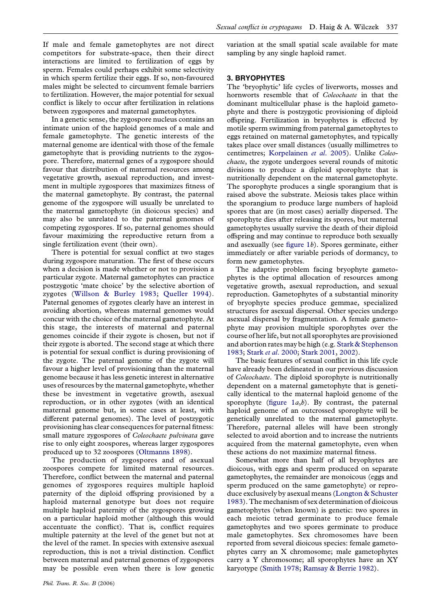If male and female gametophytes are not direct competitors for substrate-space, then their direct interactions are limited to fertilization of eggs by sperm. Females could perhaps exhibit some selectivity in which sperm fertilize their eggs. If so, non-favoured males might be selected to circumvent female barriers to fertilization. However, the major potential for sexual conflict is likely to occur after fertilization in relations between zygospores and maternal gametophytes.

In a genetic sense, the zygospore nucleus contains an intimate union of the haploid genomes of a male and female gametophyte. The genetic interests of the maternal genome are identical with those of the female gametophyte that is providing nutrients to the zygospore. Therefore, maternal genes of a zygospore should favour that distribution of maternal resources among vegetative growth, asexual reproduction, and investment in multiple zygospores that maximizes fitness of the maternal gametophyte. By contrast, the paternal genome of the zygospore will usually be unrelated to the maternal gametophyte (in dioicous species) and may also be unrelated to the paternal genomes of competing zygospores. If so, paternal genomes should favour maximizing the reproductive return from a single fertilization event (their own).

There is potential for sexual conflict at two stages during zygospore maturation. The first of these occurs when a decision is made whether or not to provision a particular zygote. Maternal gametophytes can practice postzygotic 'mate choice' by the selective abortion of zygotes ([Willson & Burley 1983](#page-8-0); [Queller 1994](#page-7-0)). Paternal genomes of zygotes clearly have an interest in avoiding abortion, whereas maternal genomes would concur with the choice of the maternal gametophyte. At this stage, the interests of maternal and paternal genomes coincide if their zygote is chosen, but not if their zygote is aborted. The second stage at which there is potential for sexual conflict is during provisioning of the zygote. The paternal genome of the zygote will favour a higher level of provisioning than the maternal genome because it has less genetic interest in alternative uses of resources by the maternal gametophyte, whether these be investment in vegetative growth, asexual reproduction, or in other zygotes (with an identical maternal genome but, in some cases at least, with different paternal genomes). The level of postzygotic provisioning has clear consequences for paternal fitness: small mature zygospores of Coleochaete pulvinata gave rise to only eight zoospores, whereas larger zygospores produced up to 32 zoospores [\(Oltmanns 1898](#page-7-0)).

The production of zygospores and of asexual zoospores compete for limited maternal resources. Therefore, conflict between the maternal and paternal genomes of zygospores requires multiple haploid paternity of the diploid offspring provisioned by a haploid maternal genotype but does not require multiple haploid paternity of the zygospores growing on a particular haploid mother (although this would accentuate the conflict). That is, conflict requires multiple paternity at the level of the genet but not at the level of the ramet. In species with extensive asexual reproduction, this is not a trivial distinction. Conflict between maternal and paternal genomes of zygospores may be possible even when there is low genetic variation at the small spatial scale available for mate sampling by any single haploid ramet.

### 3. BRYOPHYTES

The 'bryophytic' life cycles of liverworts, mosses and hornworts resemble that of Coleochaete in that the dominant multicellular phase is the haploid gametophyte and there is postzygotic provisioning of diploid offspring. Fertilization in bryophytes is effected by motile sperm swimming from paternal gametophytes to eggs retained on maternal gametophytes, and typically takes place over small distances (usually millimetres to centimetres; [Korpelainen](#page-7-0) et al. 2005). Unlike Coleochaete, the zygote undergoes several rounds of mitotic divisions to produce a diploid sporophyte that is nutritionally dependent on the maternal gametophyte. The sporophyte produces a single sporangium that is raised above the substrate. Meiosis takes place within the sporangium to produce large numbers of haploid spores that are (in most cases) aerially dispersed. The sporophyte dies after releasing its spores, but maternal gametophytes usually survive the death of their diploid offspring and may continue to reproduce both sexually and asexually (see figure  $1b$ ). Spores germinate, either immediately or after variable periods of dormancy, to form new gametophytes.

The adaptive problem facing bryophyte gametophytes is the optimal allocation of resources among vegetative growth, asexual reproduction, and sexual reproduction. Gametophytes of a substantial minority of bryophyte species produce gemmae, specialized structures for asexual dispersal. Other species undergo asexual dispersal by fragmentation. A female gametophyte may provision multiple sporophytes over the course of her life, but not all sporophytes are provisioned and abortion rates may be high (e.g. [Stark & Stephenson](#page-8-0) [1983](#page-8-0); Stark et al[. 2000](#page-8-0); [Stark 2001](#page-8-0), [2002\)](#page-8-0).

The basic features of sexual conflict in this life cycle have already been delineated in our previous discussion of Coleochaete. The diploid sporophyte is nutritionally dependent on a maternal gametophyte that is genetically identical to the maternal haploid genome of the sporophyte (figure  $1a,b$ ). By contrast, the paternal haploid genome of an outcrossed sporophyte will be genetically unrelated to the maternal gametophyte. Therefore, paternal alleles will have been strongly selected to avoid abortion and to increase the nutrients acquired from the maternal gametophyte, even when these actions do not maximize maternal fitness.

Somewhat more than half of all bryophytes are dioicous, with eggs and sperm produced on separate gametophytes, the remainder are monoicous (eggs and sperm produced on the same gametophyte) or reproduce exclusively by asexual means [\(Longton & Schuster](#page-7-0) [1983](#page-7-0)). The mechanism of sex determination of dioicous gametophytes (when known) is genetic: two spores in each meiotic tetrad germinate to produce female gametophytes and two spores germinate to produce male gametophytes. Sex chromosomes have been reported from several dioicous species: female gametophytes carry an X chromosome; male gametophytes carry a Y chromosome; all sporophytes have an XY karyotype [\(Smith 1978](#page-8-0); [Ramsay & Berrie 1982](#page-7-0)).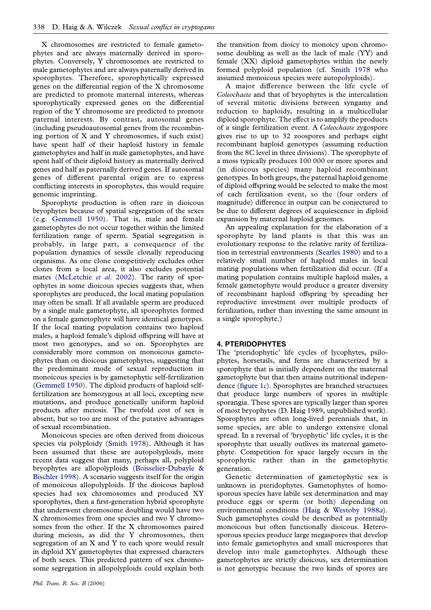X chromosomes are restricted to female gametophytes and are always maternally derived in sporophytes. Conversely, Y chromosomes are restricted to male gametophytes and are always paternally derived in sporophytes. Therefore, sporophytically expressed genes on the differential region of the X chromosome are predicted to promote maternal interests, whereas sporophytically expressed genes on the differential region of the Y chromosome are predicted to promote paternal interests. By contrast, autosomal genes (including pseudoautosomal genes from the recombining portion of X and Y chromosomes, if such exist) have spent half of their haploid history in female gametophytes and half in male gametophytes, and have spent half of their diploid history as maternally derived genes and half as paternally derived genes. If autosomal genes of different parental origin are to express conflicting interests in sporophytes, this would require genomic imprinting.

Sporophyte production is often rare in dioicous bryophytes because of spatial segregation of the sexes (e.g. [Gemmell 1950](#page-7-0)). That is, male and female gametophytes do not occur together within the limited fertilization range of sperm. Spatial segregation is probably, in large part, a consequence of the population dynamics of sessile clonally reproducing organisms. As one clone competitively excludes other clones from a local area, it also excludes potential mates ([McLetchie](#page-7-0) et al. 2002). The rarity of sporophytes in some dioicous species suggests that, when sporophytes are produced, the local mating population may often be small. If all available sperm are produced by a single male gametophyte, all sporophytes formed on a female gametophyte will have identical genotypes. If the local mating population contains two haploid males, a haploid female's diploid offspring will have at most two genotypes, and so on. Sporophytes are considerably more common on monoicous gametophytes than on dioicous gametophytes, suggesting that the predominant mode of sexual reproduction in monoicous species is by gametophytic self-fertilization [\(Gemmell 1950](#page-7-0)). The diploid products of haploid selffertilization are homozygous at all loci, excepting new mutations, and produce genetically uniform haploid products after meiosis. The twofold cost of sex is absent, but so too are most of the putative advantages of sexual recombination.

Monoicous species are often derived from dioicous species via polyploidy [\(Smith 1978\)](#page-8-0). Although it has been assumed that these are autopolyploids, more recent data suggest that many, perhaps all, polyploid bryophytes are allopolyploids ([Boisselier-Dubayle &](#page-7-0) [Bischler 1998](#page-7-0)). A scenario suggests itself for the origin of monoicous allopolyploids. If the dioicous haploid species had sex chromosomes and produced XY sporophytes, then a first-generation hybrid sporophyte that underwent chromosome doubling would have two X chromosomes from one species and two Y chromosomes from the other. If the X chromosomes paired during meiosis, as did the Y chromosomes, then segregation of an X and Y to each spore would result in diploid XY gametophytes that expressed characters of both sexes. This predicted pattern of sex chromosome segregation in allopolyploids could explain both

the transition from dioicy to monoicy upon chromosome doubling as well as the lack of male (YY) and female (XX) diploid gametophytes within the newly formed polyploid population (cf. [Smith 1978](#page-8-0) who assumed monoicous species were autopolyploids).

A major difference between the life cycle of Coleochaete and that of bryophytes is the intercalation of several mitotic divisions between syngamy and reduction to haploidy, resulting in a multicellular diploid sporophyte. The effect is to amplify the products of a single fertilization event. A Coleochaete zygospore gives rise to up to 32 zoospores and perhaps eight recombinant haploid genotypes (assuming reduction from the 8C level in three divisions). The sporophyte of a moss typically produces 100 000 or more spores and (in dioicous species) many haploid recombinant genotypes. In both groups, the paternal haploid genome of diploid offspring would be selected to make the most of each fertilization event, so the (four orders of magnitude) difference in output can be conjectured to be due to different degrees of acquiescence in diploid expansion by maternal haploid genomes.

An appealing explanation for the elaboration of a sporophyte by land plants is that this was an evolutionary response to the relative rarity of fertilization in terrestrial environments [\(Searles 1980](#page-7-0)) and to a relatively small number of haploid males in local mating populations when fertilization did occur. (If a mating population contains multiple haploid males, a female gametophyte would produce a greater diversity of recombinant haploid offspring by spreading her reproductive investment over multiple products of fertilization, rather than investing the same amount in a single sporophyte.)

#### 4. PTERIDOPHYTES

The 'pteridophytic' life cycles of lycophytes, psilophytes, horsetails, and ferns are characterized by a sporophyte that is initially dependent on the maternal gametophyte but that then attains nutritional independence [\(figure 1](#page-1-0)c). Sporophytes are branched structures that produce large numbers of spores in multiple sporangia. These spores are typically larger than spores of most bryophytes (D. Haig 1989, unpublished work). Sporophytes are often long-lived perennials that, in some species, are able to undergo extensive clonal spread. In a reversal of 'bryophytic' life cycles, it is the sporophyte that usually outlives its maternal gametophyte. Competition for space largely occurs in the sporophytic rather than in the gametophytic generation.

Genetic determination of gametophytic sex is unknown in pteridophytes. Gametophytes of homosporous species have labile sex determination and may produce eggs or sperm (or both) depending on environmental conditions [\(Haig & Westoby 1988](#page-7-0)a). Such gametophytes could be described as potentially monoicous but often functionally dioicous. Heterosporous species produce large megaspores that develop into female gametophytes and small microspores that develop into male gametophytes. Although these gametophytes are strictly dioicous, sex determination is not genotypic because the two kinds of spores are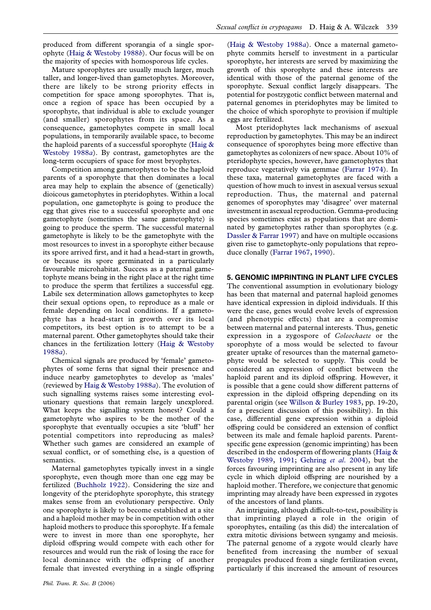produced from different sporangia of a single sporophyte [\(Haig & Westoby 1988](#page-7-0)b). Our focus will be on the majority of species with homosporous life cycles.

Mature sporophytes are usually much larger, much taller, and longer-lived than gametophytes. Moreover, there are likely to be strong priority effects in competition for space among sporophytes. That is, once a region of space has been occupied by a sporophyte, that individual is able to exclude younger (and smaller) sporophytes from its space. As a consequence, gametophytes compete in small local populations, in temporarily available space, to become the haploid parents of a successful sporophyte [\(Haig &](#page-7-0) [Westoby 1988](#page-7-0)a). By contrast, gametophytes are the long-term occupiers of space for most bryophytes.

Competition among gametophytes to be the haploid parents of a sporophyte that then dominates a local area may help to explain the absence of (genetically) dioicous gametophytes in pteridophytes. Within a local population, one gametophyte is going to produce the egg that gives rise to a successful sporophyte and one gametophyte (sometimes the same gametophyte) is going to produce the sperm. The successful maternal gametophyte is likely to be the gametophyte with the most resources to invest in a sporophyte either because its spore arrived first, and it had a head-start in growth, or because its spore germinated in a particularly favourable microhabitat. Success as a paternal gametophyte means being in the right place at the right time to produce the sperm that fertilizes a successful egg. Labile sex determination allows gametophytes to keep their sexual options open, to reproduce as a male or female depending on local conditions. If a gametophyte has a head-start in growth over its local competitors, its best option is to attempt to be a maternal parent. Other gametophytes should take their chances in the fertilization lottery ([Haig & Westoby](#page-7-0) [1988](#page-7-0)a).

Chemical signals are produced by 'female' gametophytes of some ferns that signal their presence and induce nearby gametophytes to develop as 'males' (reviewed by [Haig & Westoby 1988](#page-7-0)a). The evolution of such signalling systems raises some interesting evolutionary questions that remain largely unexplored. What keeps the signalling system honest? Could a gametophyte who aspires to be the mother of the sporophyte that eventually occupies a site 'bluff' her potential competitors into reproducing as males? Whether such games are considered an example of sexual conflict, or of something else, is a question of semantics.

Maternal gametophytes typically invest in a single sporophyte, even though more than one egg may be fertilized [\(Buchholz 1922\)](#page-7-0). Considering the size and longevity of the pteridophyte sporophyte, this strategy makes sense from an evolutionary perspective. Only one sporophyte is likely to become established at a site and a haploid mother may be in competition with other haploid mothers to produce this sporophyte. If a female were to invest in more than one sporophyte, her diploid offspring would compete with each other for resources and would run the risk of losing the race for local dominance with the offspring of another female that invested everything in a single offspring

[\(Haig & Westoby 1988](#page-7-0)a). Once a maternal gametophyte commits herself to investment in a particular sporophyte, her interests are served by maximizing the growth of this sporophyte and these interests are identical with those of the paternal genome of the sporophyte. Sexual conflict largely disappears. The potential for postzygotic conflict between maternal and paternal genomes in pteridophytes may be limited to the choice of which sporophyte to provision if multiple eggs are fertilized.

Most pteridophytes lack mechanisms of asexual reproduction by gametophytes. This may be an indirect consequence of sporophytes being more effective than gametophytes as colonizers of new space. About 10% of pteridophyte species, however, have gametophytes that reproduce vegetatively via gemmae ([Farrar 1974](#page-7-0)). In these taxa, maternal gametophytes are faced with a question of how much to invest in asexual versus sexual reproduction. Thus, the maternal and paternal genomes of sporophytes may 'disagree' over maternal investment in asexual reproduction. Gemma-producing species sometimes exist as populations that are dominated by gametophytes rather than sporophytes (e.g. [Dassler & Farrar 1997](#page-7-0)) and have on multiple occasions given rise to gametophyte-only populations that reproduce clonally [\(Farrar 1967](#page-7-0), [1990\)](#page-7-0).

## 5. GENOMIC IMPRINTING IN PLANT LIFE CYCLES

The conventional assumption in evolutionary biology has been that maternal and paternal haploid genomes have identical expression in diploid individuals. If this were the case, genes would evolve levels of expression (and phenotypic effects) that are a compromise between maternal and paternal interests. Thus, genetic expression in a zygospore of Coleochaete or the sporophyte of a moss would be selected to favour greater uptake of resources than the maternal gametophyte would be selected to supply. This could be considered an expression of conflict between the haploid parent and its diploid offspring. However, it is possible that a gene could show different patterns of expression in the diploid offspring depending on its parental origin (see [Willson & Burley 1983,](#page-8-0) pp. 19-20, for a prescient discussion of this possibility). In this case, differential gene expression within a diploid offspring could be considered an extension of conflict between its male and female haploid parents. Parentspecific gene expression (genomic imprinting) has been described in the endosperm of flowering plants ([Haig &](#page-7-0) [Westoby 1989](#page-7-0), [1991;](#page-7-0) [Gehring](#page-7-0) et al. 2004), but the forces favouring imprinting are also present in any life cycle in which diploid offspring are nourished by a haploid mother. Therefore, we conjecture that genomic imprinting may already have been expressed in zygotes of the ancestors of land plants.

An intriguing, although difficult-to-test, possibility is that imprinting played a role in the origin of sporophytes, entailing (as this did) the intercalation of extra mitotic divisions between syngamy and meiosis. The paternal genome of a zygote would clearly have benefited from increasing the number of sexual propagules produced from a single fertilization event, particularly if this increased the amount of resources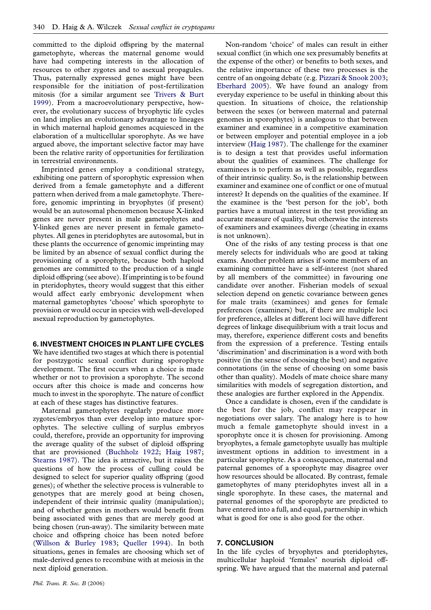committed to the diploid offspring by the maternal gametophyte, whereas the maternal genome would have had competing interests in the allocation of resources to other zygotes and to asexual propagules. Thus, paternally expressed genes might have been responsible for the initiation of post-fertilization mitosis (for a similar argument see [Trivers & Burt](#page-8-0) [1999](#page-8-0)). From a macroevolutionary perspective, however, the evolutionary success of bryophytic life cycles on land implies an evolutionary advantage to lineages in which maternal haploid genomes acquiesced in the elaboration of a multicellular sporophyte. As we have argued above, the important selective factor may have been the relative rarity of opportunities for fertilization in terrestrial environments.

Imprinted genes employ a conditional strategy, exhibiting one pattern of sporophytic expression when derived from a female gametophyte and a different pattern when derived from a male gametophyte. Therefore, genomic imprinting in bryophytes (if present) would be an autosomal phenomenon because X-linked genes are never present in male gametophytes and Y-linked genes are never present in female gametophytes. All genes in pteridophytes are autosomal, but in these plants the occurrence of genomic imprinting may be limited by an absence of sexual conflict during the provisioning of a sporophyte, because both haploid genomes are committed to the production of a single diploid offspring (see above). If imprinting is to be found in pteridophytes, theory would suggest that this either would affect early embryonic development when maternal gametophytes 'choose' which sporophyte to provision or would occur in species with well-developed asexual reproduction by gametophytes.

# 6. INVESTMENT CHOICES IN PLANT LIFE CYCLES

We have identified two stages at which there is potential for postzygotic sexual conflict during sporophyte development. The first occurs when a choice is made whether or not to provision a sporophyte. The second occurs after this choice is made and concerns how much to invest in the sporophyte. The nature of conflict at each of these stages has distinctive features.

Maternal gametophytes regularly produce more zygotes/embryos than ever develop into mature sporophytes. The selective culling of surplus embryos could, therefore, provide an opportunity for improving the average quality of the subset of diploid offspring that are provisioned ([Buchholz 1922](#page-7-0); [Haig 1987;](#page-7-0) [Stearns 1987](#page-8-0)). The idea is attractive, but it raises the questions of how the process of culling could be designed to select for superior quality offspring (good genes); of whether the selective process is vulnerable to genotypes that are merely good at being chosen, independent of their intrinsic quality (manipulation); and of whether genes in mothers would benefit from being associated with genes that are merely good at being chosen (run-away). The similarity between mate choice and offspring choice has been noted before [\(Willson & Burley 1983;](#page-8-0) [Queller 1994\)](#page-7-0). In both situations, genes in females are choosing which set of male-derived genes to recombine with at meiosis in the next diploid generation.

Non-random 'choice' of males can result in either sexual conflict (in which one sex presumably benefits at the expense of the other) or benefits to both sexes, and the relative importance of these two processes is the centre of an ongoing debate (e.g. [Pizzari & Snook 2003;](#page-7-0) [Eberhard 2005](#page-7-0)). We have found an analogy from everyday experience to be useful in thinking about this question. In situations of choice, the relationship between the sexes (or between maternal and paternal genomes in sporophytes) is analogous to that between examiner and examinee in a competitive examination or between employer and potential employee in a job interview ([Haig 1987](#page-7-0)). The challenge for the examiner is to design a test that provides useful information about the qualities of examinees. The challenge for examinees is to perform as well as possible, regardless of their intrinsic quality. So, is the relationship between examiner and examinee one of conflict or one of mutual interest? It depends on the qualities of the examinee. If the examinee is the 'best person for the job', both parties have a mutual interest in the test providing an accurate measure of quality, but otherwise the interests of examiners and examinees diverge (cheating in exams is not unknown).

One of the risks of any testing process is that one merely selects for individuals who are good at taking exams. Another problem arises if some members of an examining committee have a self-interest (not shared by all members of the committee) in favouring one candidate over another. Fisherian models of sexual selection depend on genetic covariance between genes for male traits (examinees) and genes for female preferences (examiners) but, if there are multiple loci for preference, alleles at different loci will have different degrees of linkage disequilibrium with a trait locus and may, therefore, experience different costs and benefits from the expression of a preference. Testing entails 'discrimination' and discrimination is a word with both positive (in the sense of choosing the best) and negative connotations (in the sense of choosing on some basis other than quality). Models of mate choice share many similarities with models of segregation distortion, and these analogies are further explored in the Appendix.

Once a candidate is chosen, even if the candidate is the best for the job, conflict may reappear in negotiations over salary. The analogy here is to how much a female gametophyte should invest in a sporophyte once it is chosen for provisioning. Among bryophytes, a female gametophyte usually has multiple investment options in addition to investment in a particular sporophyte. As a consequence, maternal and paternal genomes of a sporophyte may disagree over how resources should be allocated. By contrast, female gametophytes of many pteridophytes invest all in a single sporophyte. In these cases, the maternal and paternal genomes of the sporophyte are predicted to have entered into a full, and equal, partnership in which what is good for one is also good for the other.

## 7. CONCLUSION

In the life cycles of bryophytes and pteridophytes, multicellular haploid 'females' nourish diploid offspring. We have argued that the maternal and paternal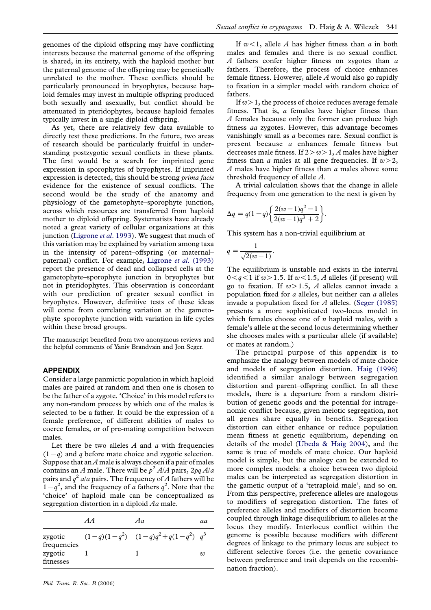genomes of the diploid offspring may have conflicting interests because the maternal genome of the offspring is shared, in its entirety, with the haploid mother but the paternal genome of the offspring may be genetically unrelated to the mother. These conflicts should be particularly pronounced in bryophytes, because haploid females may invest in multiple offspring produced both sexually and asexually, but conflict should be attenuated in pteridophytes, because haploid females typically invest in a single diploid offspring.

As yet, there are relatively few data available to directly test these predictions. In the future, two areas of research should be particularly fruitful in understanding postzygotic sexual conflicts in these plants. The first would be a search for imprinted gene expression in sporophytes of bryophytes. If imprinted expression is detected, this should be strong prima facie evidence for the existence of sexual conflicts. The second would be the study of the anatomy and physiology of the gametophyte–sporophyte junction, across which resources are transferred from haploid mother to diploid offspring. Systematists have already noted a great variety of cellular organizations at this junction [\(Ligrone](#page-7-0) *et al.* 1993). We suggest that much of this variation may be explained by variation among taxa in the intensity of parent–offspring (or maternal– paternal) conflict. For example, Ligrone et al[. \(1993\)](#page-7-0) report the presence of dead and collapsed cells at the gametophyte–sporophyte junction in bryophytes but not in pteridophytes. This observation is concordant with our prediction of greater sexual conflict in bryophytes. However, definitive tests of these ideas will come from correlating variation at the gametophyte–sporophyte junction with variation in life cycles within these broad groups.

The manuscript benefited from two anonymous reviews and the helpful comments of Yaniv Brandvain and Jon Seger.

# APPENDIX

Consider a large panmictic population in which haploid males are paired at random and then one is chosen to be the father of a zygote. 'Choice' in this model refers to any non-random process by which one of the males is selected to be a father. It could be the expression of a female preference, of different abilities of males to coerce females, or of pre-mating competition between males.

Let there be two alleles  $A$  and  $a$  with frequencies  $(1-q)$  and q before mate choice and zygotic selection. Suppose that an  $A$  male is always chosen if a pair of males contains an A male. There will be  $p^2 A/A$  pairs,  $2pq A/a$ pairs and  $q^2$  a/a pairs. The frequency of A fathers will be  $1-q^2$ , and the frequency of a fathers  $q^2$ . Note that the 'choice' of haploid male can be conceptualized as segregation distortion in a diploid Aa male.

|                        | AA | Aa                                    | aa |
|------------------------|----|---------------------------------------|----|
| zygotic<br>frequencies |    | $(1-q)(1-q^2)$ $(1-q)q^2+q(1-q^2)q^3$ |    |
| zygotic<br>fitnesses   |    |                                       | w  |

If  $w<1$ , allele A has higher fitness than a in both males and females and there is no sexual conflict. A fathers confer higher fitness on zygotes than  $a$ fathers. Therefore, the process of choice enhances female fitness. However, allele A would also go rapidly to fixation in a simpler model with random choice of fathers.

If  $w>1$ , the process of choice reduces average female fitness. That is, a females have higher fitness than A females because only the former can produce high fitness aa zygotes. However, this advantage becomes vanishingly small as a becomes rare. Sexual conflict is present because a enhances female fitness but decreases male fitness. If  $2>w>1$ , A males have higher fitness than a males at all gene frequencies. If  $w>2$ , A males have higher fitness than  $a$  males above some threshold frequency of allele A.

A trivial calculation shows that the change in allele frequency from one generation to the next is given by

$$
\Delta q = q(1-q)\bigg\{\frac{2(w-1)q^2-1}{2(w-1)q^3+2}\bigg\}.
$$

This system has a non-trivial equilibrium at

$$
q=\frac{1}{\sqrt{2(w-1)}}.
$$

The equilibrium is unstable and exists in the interval  $0 < q < 1$  if w > 1.5. If w < 1.5, A alleles (if present) will go to fixation. If  $w>1.5$ , A alleles cannot invade a population fixed for  $a$  alleles, but neither can  $a$  alleles invade a population fixed for  $A$  alleles. [\(Seger \(1985\)](#page-7-0) presents a more sophisticated two-locus model in which females choose one of  $n$  haploid males, with a female's allele at the second locus determining whether she chooses males with a particular allele (if available) or mates at random.)

The principal purpose of this appendix is to emphasize the analogy between models of mate choice and models of segregation distortion. [Haig \(1996\)](#page-7-0) identified a similar analogy between segregation distortion and parent–offspring conflict. In all these models, there is a departure from a random distribution of genetic goods and the potential for intragenomic conflict because, given meiotic segregation, not all genes share equally in benefits. Segregation distortion can either enhance or reduce population mean fitness at genetic equilibrium, depending on details of the model (U[beda & Haig 2004](#page-8-0)), and the same is true of models of mate choice. Our haploid model is simple, but the analogy can be extended to more complex models: a choice between two diploid males can be interpreted as segregation distortion in the gametic output of a 'tetraploid male', and so on. From this perspective, preference alleles are analogous to modifiers of segregation distortion. The fates of preference alleles and modifiers of distortion become coupled through linkage disequilibrium to alleles at the locus they modify. Interlocus conflict within the genome is possible because modifiers with different degrees of linkage to the primary locus are subject to different selective forces (i.e. the genetic covariance between preference and trait depends on the recombination fraction).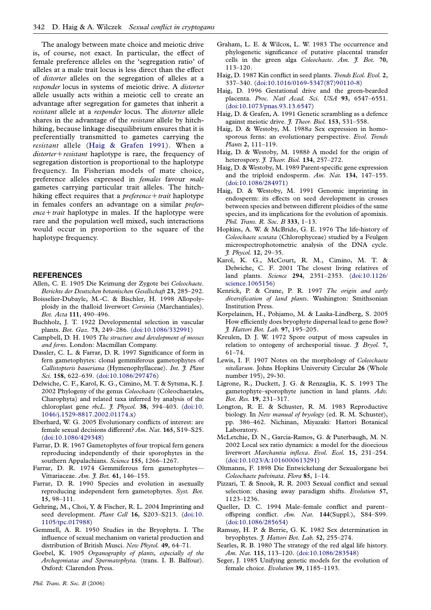<span id="page-7-0"></span>The analogy between mate choice and meiotic drive is, of course, not exact. In particular, the effect of female preference alleles on the 'segregation ratio' of alleles at a male trait locus is less direct than the effect of *distorter* alleles on the segregation of alleles at a responder locus in systems of meiotic drive. A distorter allele usually acts within a meiotic cell to create an advantage after segregation for gametes that inherit a resistant allele at a responder locus. The distorter allele shares in the advantage of the *resistant* allele by hitchhiking, because linkage disequilibrium ensures that it is preferentially transmitted to gametes carrying the resistant allele (Haig & Grafen 1991). When a distorter+ resistant haplotype is rare, the frequency of segregation distortion is proportional to the haplotype frequency. In Fisherian models of mate choice, preference alleles expressed in females favour male gametes carrying particular trait alleles. The hitchhiking effect requires that a  $preference + trait$  haplotype in females confers an advantage on a similar prefer $ence + trait$  haplotype in males. If the haplotype were rare and the population well mixed, such interactions would occur in proportion to the square of the haplotype frequency.

#### REFERENCES

- Allen, C. E. 1905 Die Keimung der Zygote bei Coleochaete. Berichte der Deutschen botanischen Gesellschaft 23, 285–292.
- Boisselier-Dubayle, M.-C. & Bischler, H. 1998 Allopolyploidy in the thalloid liverwort Corsinia (Marchantiales). Bot. Acta 111, 490–496.
- Buchholz, J. T. 1922 Developmental selection in vascular plants. Bot. Gaz. 73, 249–286. ([doi:10.1086/332991](http://dx.doi.org/doi:10.1086/332991))
- Campbell, D. H. 1905 The structure and development of mosses and ferns. London: Macmillan Company.
- Dassler, C. L. & Farrar, D. R. 1997 Significance of form in fern gametophytes: clonal gemmiferous gametophytes of Callistopteris baueriana (Hymenophyllaceae). Int. J. Plant Sci. 158, 622-639. [\(doi:10.1086/297476\)](http://dx.doi.org/doi:10.1086/297476)
- Delwiche, C. F., Karol, K. G., Cimino, M. T. & Sytsma, K. J. 2002 Phylogeny of the genus Coleochaete (Coleochaetales, Charophyta) and related taxa inferred by analysis of the chloroplast gene rbcL. J. Phycol. 38, 394-403. ([doi:10.](http://dx.doi.org/doi:10.1046/j.1529-8817.2002.01174.x) [1046/j.1529-8817.2002.01174.x](http://dx.doi.org/doi:10.1046/j.1529-8817.2002.01174.x))
- Eberhard, W. G. 2005 Evolutionary conflicts of interest: are female sexual decisions different? Am. Nat. 165, S19–S25. ([doi:10.1086/429348](http://dx.doi.org/doi:10.1086/429348))
- Farrar, D. R. 1967 Gametophytes of four tropical fern genera reproducing independently of their sporophytes in the southern Appalachians. Science 155, 1266-1267.
- Farrar, D. R. 1974 Gemmiferous fern gametophytes— Vittariaceae. Am. *J. Bot.* 61, 146-155.
- Farrar, D. R. 1990 Species and evolution in asexually reproducing independent fern gametophytes. Syst. Bot. 15, 98–111.
- Gehring, M., Choi, Y. & Fischer, R. L. 2004 Imprinting and seed development. Plant Cell 16, S203-S213. ([doi:10.](http://dx.doi.org/doi:10.1105/tpc.017988) [1105/tpc.017988](http://dx.doi.org/doi:10.1105/tpc.017988))
- Gemmell, A. R. 1950 Studies in the Bryophyta. I. The influence of sexual mechanism on varietal production and distribution of British Musci. New Phytol. 49, 64-71.
- Goebel, K. 1905 Organography of plants, especially of the Archegoniatae and Spermatophyta. (trans. I. B. Balfour). Oxford: Clarendon Press.
- Graham, L. E. & Wilcox, L. W. 1983 The occurrence and phylogenetic significance of putative placental transfer cells in the green alga Coleochaete. Am.  $\tilde{f}$ . Bot. 70, 113–120.
- Haig, D. 1987 Kin conflict in seed plants. Trends Ecol. Evol. 2, 337–340. [\(doi:10.1016/0169-5347\(87\)90110-8\)](http://dx.doi.org/doi:10.1016/0169-5347(87)90110-8)
- Haig, D. 1996 Gestational drive and the green-bearded placenta. Proc. Natl Acad. Sci. USA 93, 6547-6551. ([doi:10.1073/pnas.93.13.6547](http://dx.doi.org/doi:10.1073/pnas.93.13.6547))
- Haig, D. & Grafen, A. 1991 Genetic scrambling as a defence against meiotic drive. *J. Theor. Biol.* 153, 531-558.
- Haig, D. & Westoby, M. 1988a Sex expression in homosporous ferns: an evolutionary perspective. Evol. Trends Plants 2, 111–119.
- Haig, D. & Westoby, M. 1988b A model for the origin of heterospory. *J. Theor. Biol.* **134**, 257-272.
- Haig, D. & Westoby, M. 1989 Parent-specific gene expression and the triploid endosperm. Am. Nat. 134, 147–155. ([doi:10.1086/284971](http://dx.doi.org/doi:10.1086/284971))
- Haig, D. & Westoby, M. 1991 Genomic imprinting in endosperm: its effects on seed development in crosses between species and between different ploidies of the same species, and its implications for the evolution of apomixis. Phil. Trans. R. Soc. B 333, 1–13.
- Hopkins, A. W. & McBride, G. E. 1976 The life-history of Coleochaete scutata (Chlorophyceae) studied by a Feulgen microspectrophotometric analysis of the DNA cycle. J. Phycol. 12, 29–35.
- Karol, K. G., McCourt, R. M., Cimino, M. T. & Delwiche, C. F. 2001 The closest living relatives of land plants. Science 294, 2351–2353. ([doi:10.1126/](http://dx.doi.org/doi:10.1126/science.1065156) [science.1065156](http://dx.doi.org/doi:10.1126/science.1065156))
- Kenrick, P. & Crane, P. R. 1997 The origin and early diversification of land plants. Washington: Smithsonian Institution Press.
- Korpelainen, H., Pohjamo, M. & Laaka-Lindberg, S. 2005 How efficiently does bryophyte dispersal lead to gene flow? J. Hattori Bot. Lab. 97, 195–205.
- Kreulen, D. J. W. 1972 Spore output of moss capsules in relation to ontogeny of archesporial tissue. *J. Bryol.* 7, 61–74.
- Lewis, I. F. 1907 Notes on the morphology of Coleochaete nitellarum. Johns Hopkins University Circular 26 (Whole number 195), 29-30.
- Ligrone, R., Duckett, J. G. & Renzaglia, K. S. 1993 The gametophyte–sporophyte junction in land plants. Adv. Bot. Res. 19, 231–317.
- Longton, R. E. & Schuster, R. M. 1983 Reproductive biology. In New manual of bryology (ed. R. M. Schuster), pp. 386–462. Nichinan, Miyazaki: Hattori Botanical Laboratory.
- McLetchie, D. N., García-Ramos, G. & Puterbaugh, M. N. 2002 Local sex ratio dynamics: a model for the dioecious liverwort Marchantia inflexa. Evol. Ecol. 15, 231–254. ([doi:10.1023/A:1016000613291](http://dx.doi.org/doi:10.1023/A:1016000613291))
- Oltmanns, F. 1898 Die Entwickelung der Sexualorgane bei Coleochaete pulvinata. Flora 85, 1–14.
- Pizzari, T. & Snook, R. R. 2003 Sexual conflict and sexual selection: chasing away paradigm shifts. Evolution 57, 1123–1236.
- Queller, D. C. 1994 Male–female conflict and parent– offspring conflict. Am. Nat. 144(Suppl.), S84–S99. ([doi:10.1086/285654](http://dx.doi.org/doi:10.1086/285654))
- Ramsay, H. P. & Berrie, G. K. 1982 Sex determination in bryophytes. J. Hattori Bot. Lab. 52, 255–274.
- Searles, R. B. 1980 The strategy of the red algal life history. Am. Nat. 115, 113–120. ([doi:10.1086/283548](http://dx.doi.org/doi:10.1086/283548))
- Seger, J. 1985 Unifying genetic models for the evolution of female choice. Evolution 39, 1185–1193.